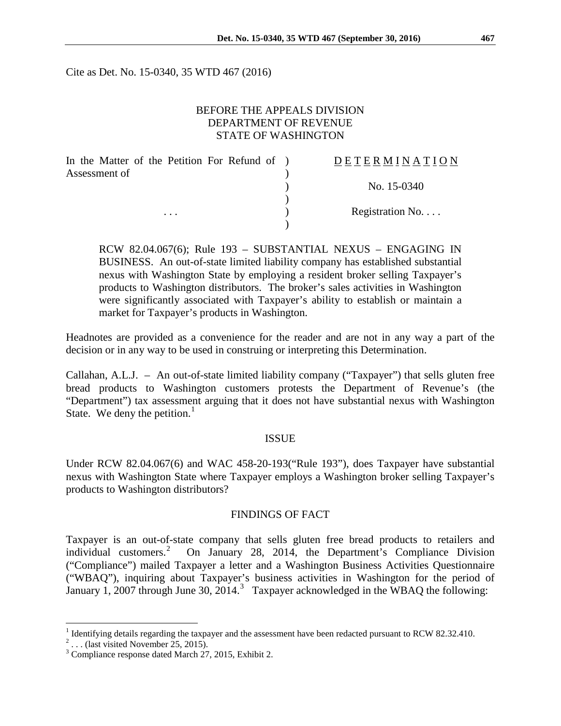Cite as Det. No. 15-0340, 35 WTD 467 (2016)

### BEFORE THE APPEALS DIVISION DEPARTMENT OF REVENUE STATE OF WASHINGTON

| In the Matter of the Petition For Refund of ) | DETERMINATION   |
|-----------------------------------------------|-----------------|
| Assessment of                                 |                 |
|                                               | No. 15-0340     |
|                                               |                 |
| $\cdots$                                      | Registration No |
|                                               |                 |

RCW 82.04.067(6); Rule 193 – SUBSTANTIAL NEXUS – ENGAGING IN BUSINESS. An out-of-state limited liability company has established substantial nexus with Washington State by employing a resident broker selling Taxpayer's products to Washington distributors. The broker's sales activities in Washington were significantly associated with Taxpayer's ability to establish or maintain a market for Taxpayer's products in Washington.

Headnotes are provided as a convenience for the reader and are not in any way a part of the decision or in any way to be used in construing or interpreting this Determination.

Callahan, A.L.J. – An out-of-state limited liability company ("Taxpayer") that sells gluten free bread products to Washington customers protests the Department of Revenue's (the "Department") tax assessment arguing that it does not have substantial nexus with Washington State. We deny the petition. $<sup>1</sup>$  $<sup>1</sup>$  $<sup>1</sup>$ </sup>

#### ISSUE

Under RCW 82.04.067(6) and WAC 458-20-193("Rule 193"), does Taxpayer have substantial nexus with Washington State where Taxpayer employs a Washington broker selling Taxpayer's products to Washington distributors?

#### FINDINGS OF FACT

Taxpayer is an out-of-state company that sells gluten free bread products to retailers and individual customers. [2](#page-0-1) On January 28, 2014, the Department's Compliance Division ("Compliance") mailed Taxpayer a letter and a Washington Business Activities Questionnaire ("WBAQ"), inquiring about Taxpayer's business activities in Washington for the period of January 1, 2007 through June [3](#page-0-2)0, 2014.<sup>3</sup> Taxpayer acknowledged in the WBAQ the following:

<span id="page-0-1"></span><span id="page-0-0"></span><sup>&</sup>lt;sup>1</sup> Identifying details regarding the taxpayer and the assessment have been redacted pursuant to RCW 82.32.410.<br><sup>2</sup>... (last visited November 25, 2015).

<span id="page-0-2"></span> $3$  Compliance response dated March 27, 2015, Exhibit 2.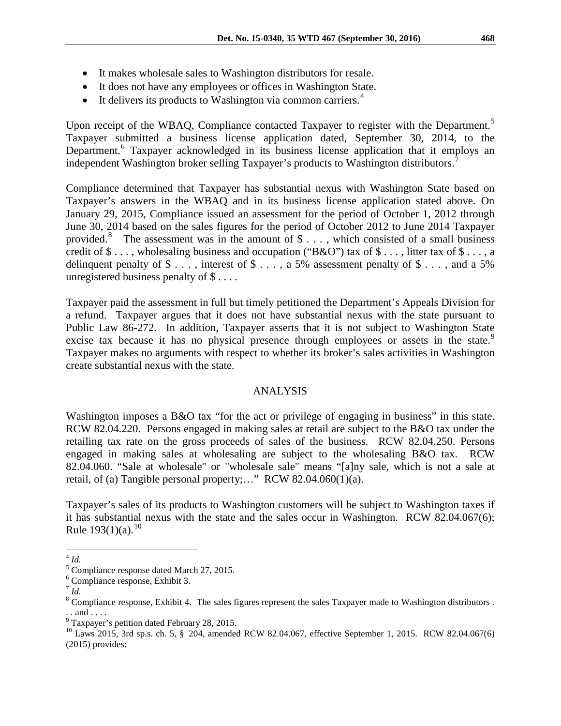- It makes wholesale sales to Washington distributors for resale.
- It does not have any employees or offices in Washington State.
- It delivers its products to Washington via common carriers.<sup>[4](#page-1-0)</sup>

Upon receipt of the WBAQ, Compliance contacted Taxpayer to register with the Department.<sup>[5](#page-1-1)</sup> Taxpayer submitted a business license application dated, September 30, 2014, to the Department.<sup>[6](#page-1-2)</sup> Taxpayer acknowledged in its business license application that it employs an independent Washington broker selling Taxpayer's products to Washington distributors.<sup>[7](#page-1-3)</sup>

Compliance determined that Taxpayer has substantial nexus with Washington State based on Taxpayer's answers in the WBAQ and in its business license application stated above. On January 29, 2015, Compliance issued an assessment for the period of October 1, 2012 through June 30, 2014 based on the sales figures for the period of October 2012 to June 2014 Taxpayer provided.<sup>[8](#page-1-4)</sup> The assessment was in the amount of  $\$ \dots$ , which consisted of a small business credit of  $\$\ldots$ , wholesaling business and occupation ("B&O") tax of  $\$\ldots$ , litter tax of  $\$\ldots$ , a delinquent penalty of  $\$\ldots$ , interest of  $\$\ldots$ , a 5% assessment penalty of  $\$\ldots$ , and a 5% unregistered business penalty of \$ . . . .

Taxpayer paid the assessment in full but timely petitioned the Department's Appeals Division for a refund. Taxpayer argues that it does not have substantial nexus with the state pursuant to Public Law 86-272. In addition, Taxpayer asserts that it is not subject to Washington State excise tax because it has no physical presence through employees or assets in the state.<sup>[9](#page-1-5)</sup> Taxpayer makes no arguments with respect to whether its broker's sales activities in Washington create substantial nexus with the state.

## ANALYSIS

Washington imposes a B&O tax "for the act or privilege of engaging in business" in this state. RCW 82.04.220. Persons engaged in making sales at retail are subject to the B&O tax under the retailing tax rate on the gross proceeds of sales of the business. RCW 82.04.250. Persons engaged in making sales at wholesaling are subject to the wholesaling B&O tax. RCW 82.04.060. "Sale at wholesale" or "wholesale sale" means "[a]ny sale, which is not a sale at retail, of (a) Tangible personal property;..." RCW 82.04.060(1)(a).

Taxpayer's sales of its products to Washington customers will be subject to Washington taxes if it has substantial nexus with the state and the sales occur in Washington. RCW 82.04.067(6); Rule  $193(1)(a)$ .<sup>[10](#page-1-6)</sup>

<span id="page-1-0"></span> <sup>4</sup> *Id.*

<span id="page-1-1"></span> $<sup>5</sup>$  Compliance response dated March 27, 2015.  $<sup>6</sup>$  Compliance response, Exhibit 3.</sup></sup>

<span id="page-1-2"></span>

 $^7$  *Id.* 

<span id="page-1-4"></span><span id="page-1-3"></span><sup>&</sup>lt;sup>8</sup> Compliance response, Exhibit 4. The sales figures represent the sales Taxpayer made to Washington distributors. . . and . . . . <sup>9</sup> Taxpayer's petition dated February 28, 2015.

<span id="page-1-5"></span>

<span id="page-1-6"></span> $^{10}$  Laws 2015, 3rd sp.s. ch. 5, § 204, amended RCW 82.04.067, effective September 1, 2015. RCW 82.04.067(6) (2015) provides: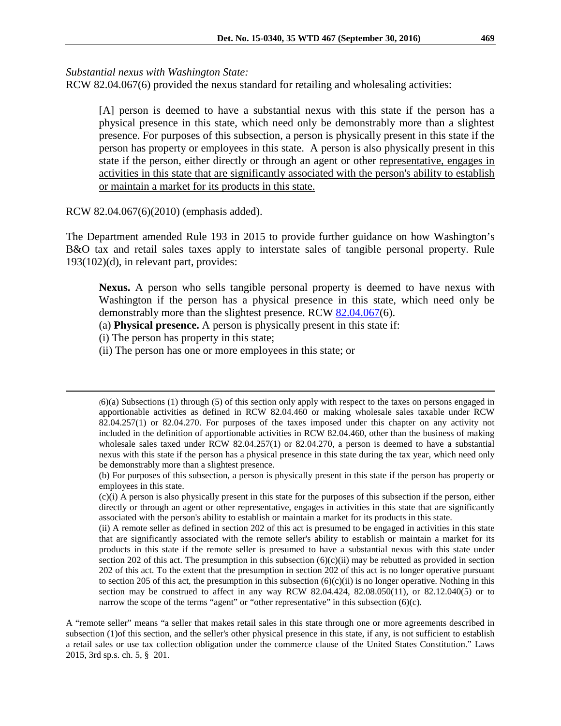*Substantial nexus with Washington State:*

RCW 82.04.067(6) provided the nexus standard for retailing and wholesaling activities:

[A] person is deemed to have a substantial nexus with this state if the person has a physical presence in this state, which need only be demonstrably more than a slightest presence. For purposes of this subsection, a person is physically present in this state if the person has property or employees in this state. A person is also physically present in this state if the person, either directly or through an agent or other representative, engages in activities in this state that are significantly associated with the person's ability to establish or maintain a market for its products in this state.

RCW 82.04.067(6)(2010) (emphasis added).

The Department amended Rule 193 in 2015 to provide further guidance on how Washington's B&O tax and retail sales taxes apply to interstate sales of tangible personal property. Rule 193(102)(d), in relevant part, provides:

**Nexus.** A person who sells tangible personal property is deemed to have nexus with Washington if the person has a physical presence in this state, which need only be demonstrably more than the slightest presence. RCW [82.04.067\(](http://app.leg.wa.gov/RCW/default.aspx?cite=82.04.067)6).

(a) **Physical presence.** A person is physically present in this state if:

(i) The person has property in this state;

 $\overline{a}$ 

(ii) The person has one or more employees in this state; or

(6)(a) Subsections (1) through (5) of this section only apply with respect to the taxes on persons engaged in apportionable activities as defined in [RCW 82.04.460](https://a.next.westlaw.com/Link/Document/FullText?findType=L&pubNum=1000259&cite=WAST82.04.460&originatingDoc=N57CF554052D711E5B8E3FB5D6463527A&refType=LQ&originationContext=document&transitionType=DocumentItem&contextData=(sc.UserEnteredCitation)) or making wholesale sales taxable under [RCW](https://a.next.westlaw.com/Link/Document/FullText?findType=L&pubNum=1000259&cite=WAST82.04.257&originatingDoc=N57CF554052D711E5B8E3FB5D6463527A&refType=SP&originationContext=document&transitionType=DocumentItem&contextData=(sc.UserEnteredCitation)#co_pp_f1c50000821b0)  [82.04.257\(1\)](https://a.next.westlaw.com/Link/Document/FullText?findType=L&pubNum=1000259&cite=WAST82.04.257&originatingDoc=N57CF554052D711E5B8E3FB5D6463527A&refType=SP&originationContext=document&transitionType=DocumentItem&contextData=(sc.UserEnteredCitation)#co_pp_f1c50000821b0) or [82.04.270.](https://a.next.westlaw.com/Link/Document/FullText?findType=L&pubNum=1000259&cite=WAST82.04.270&originatingDoc=N57CF554052D711E5B8E3FB5D6463527A&refType=LQ&originationContext=document&transitionType=DocumentItem&contextData=(sc.UserEnteredCitation)) For purposes of the taxes imposed under this chapter on any activity not included in the definition of apportionable activities in [RCW 82.04.460,](https://a.next.westlaw.com/Link/Document/FullText?findType=L&pubNum=1000259&cite=WAST82.04.460&originatingDoc=N57CF554052D711E5B8E3FB5D6463527A&refType=LQ&originationContext=document&transitionType=DocumentItem&contextData=(sc.UserEnteredCitation)) other than the business of making wholesale sales taxed under [RCW 82.04.257\(1\)](https://a.next.westlaw.com/Link/Document/FullText?findType=L&pubNum=1000259&cite=WAST82.04.257&originatingDoc=N57CF554052D711E5B8E3FB5D6463527A&refType=SP&originationContext=document&transitionType=DocumentItem&contextData=(sc.UserEnteredCitation)#co_pp_f1c50000821b0) or [82.04.270,](https://a.next.westlaw.com/Link/Document/FullText?findType=L&pubNum=1000259&cite=WAST82.04.270&originatingDoc=N57CF554052D711E5B8E3FB5D6463527A&refType=LQ&originationContext=document&transitionType=DocumentItem&contextData=(sc.UserEnteredCitation)) a person is deemed to have a substantial nexus with this state if the person has a physical presence in this state during the tax year, which need only be demonstrably more than a slightest presence.

(ii) A remote seller as defined in section 202 of this act is presumed to be engaged in activities in this state that are significantly associated with the remote seller's ability to establish or maintain a market for its products in this state if the remote seller is presumed to have a substantial nexus with this state under section 202 of this act. The presumption in this subsection  $(6)(c)(ii)$  may be rebutted as provided in section 202 of this act. To the extent that the presumption in section 202 of this act is no longer operative pursuant to section 205 of this act, the presumption in this subsection  $(6)(c)(ii)$  is no longer operative. Nothing in this section may be construed to affect in any way RCW  $82.04.424$ ,  $82.08.050(11)$ , or  $82.12.040(5)$  or to narrow the scope of the terms "agent" or "other representative" in this subsection (6)(c).

A "remote seller" means "a seller that makes retail sales in this state through one or more agreements described in subsection (1)of this section, and the seller's other physical presence in this state, if any, is not sufficient to establish a retail sales or use tax collection obligation under the commerce clause of the United States Constitution." Laws 2015, 3rd sp.s. ch. 5, § 201.

<sup>(</sup>b) For purposes of this subsection, a person is physically present in this state if the person has property or employees in this state.

<sup>(</sup>c)(i) A person is also physically present in this state for the purposes of this subsection if the person, either directly or through an agent or other representative, engages in activities in this state that are significantly associated with the person's ability to establish or maintain a market for its products in this state.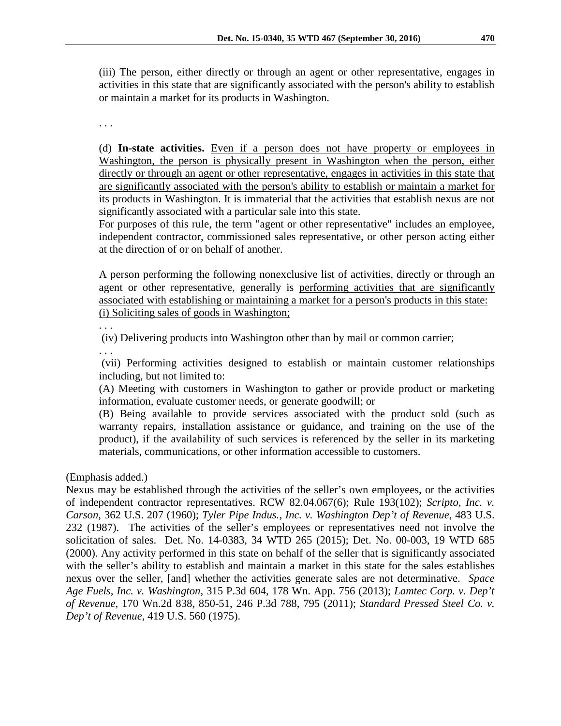(iii) The person, either directly or through an agent or other representative, engages in activities in this state that are significantly associated with the person's ability to establish or maintain a market for its products in Washington.

. . .

(d) **In-state activities.** Even if a person does not have property or employees in Washington, the person is physically present in Washington when the person, either directly or through an agent or other representative, engages in activities in this state that are significantly associated with the person's ability to establish or maintain a market for its products in Washington. It is immaterial that the activities that establish nexus are not significantly associated with a particular sale into this state.

For purposes of this rule, the term "agent or other representative" includes an employee, independent contractor, commissioned sales representative, or other person acting either at the direction of or on behalf of another.

A person performing the following nonexclusive list of activities, directly or through an agent or other representative, generally is performing activities that are significantly associated with establishing or maintaining a market for a person's products in this state: (i) Soliciting sales of goods in Washington;

. . .

(iv) Delivering products into Washington other than by mail or common carrier;

. . .

(vii) Performing activities designed to establish or maintain customer relationships including, but not limited to:

(A) Meeting with customers in Washington to gather or provide product or marketing information, evaluate customer needs, or generate goodwill; or

(B) Being available to provide services associated with the product sold (such as warranty repairs, installation assistance or guidance, and training on the use of the product), if the availability of such services is referenced by the seller in its marketing materials, communications, or other information accessible to customers.

(Emphasis added.)

Nexus may be established through the activities of the seller's own employees, or the activities of independent contractor representatives. RCW 82.04.067(6); Rule 193(102); *Scripto, Inc. v. Carson*, 362 U.S. 207 (1960); *Tyler Pipe Indus., Inc. v. Washington Dep't of Revenue*, 483 U.S. 232 (1987). The activities of the seller's employees or representatives need not involve the solicitation of sales. Det. No. 14-0383, 34 WTD 265 (2015); Det. No. 00-003, 19 WTD 685 (2000). Any activity performed in this state on behalf of the seller that is significantly associated with the seller's ability to establish and maintain a market in this state for the sales establishes nexus over the seller, [and] whether the activities generate sales are not determinative. *Space Age Fuels, Inc. v. Washington*, 315 P.3d 604, 178 Wn. App. 756 (2013); *Lamtec Corp. v. Dep't of Revenue*, 170 Wn.2d 838, 850-51, 246 P.3d 788, 795 (2011); *Standard Pressed Steel Co. v. Dep't of Revenue,* 419 U.S. 560 (1975).